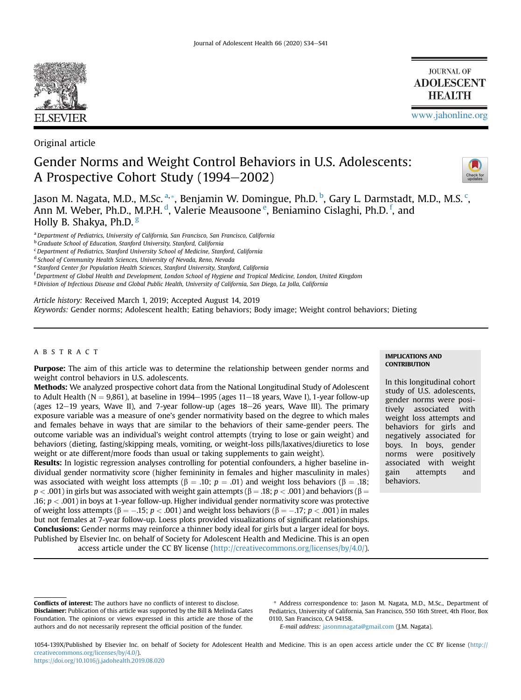

Original article

# Gender Norms and Weight Control Behaviors in U.S. Adolescents: A Prospective Cohort Study (1994-2002)



[www.jahonline.org](http://www.jahonline.org)

**JOURNAL OF ADOLESCENT HEALTH** 

Jason M. Nagata, M.D., M.Sc. <sup>a, \*</sup>, Benjamin W. Domingue, Ph.D. <sup>b</sup>, Gary L. Darmstadt, M.D., M.S. <sup>c</sup>, Ann M. Weber, Ph.D., M.P.H. <sup>d</sup>, Valerie Meausoone <sup>e</sup>, Beniamino Cislaghi, Ph.D. <sup>f</sup>, and Holly B. Shakya, Ph.D.<sup>g</sup>

<sup>a</sup> Department of Pediatrics, University of California, San Francisco, San Francisco, California

<sup>b</sup> Graduate School of Education, Stanford University, Stanford, California

<sup>c</sup> Department of Pediatrics, Stanford University School of Medicine, Stanford, California

<sup>d</sup> School of Community Health Sciences, University of Nevada, Reno, Nevada

<sup>e</sup> Stanford Center for Population Health Sciences, Stanford University, Stanford, California

f Department of Global Health and Development, London School of Hygiene and Tropical Medicine, London, United Kingdom

<sup>g</sup> Division of Infectious Disease and Global Public Health, University of California, San Diego, La Jolla, California

Article history: Received March 1, 2019; Accepted August 14, 2019 Keywords: Gender norms; Adolescent health; Eating behaviors; Body image; Weight control behaviors; Dieting

# ABSTRACT

Purpose: The aim of this article was to determine the relationship between gender norms and weight control behaviors in U.S. adolescents.

Methods: We analyzed prospective cohort data from the National Longitudinal Study of Adolescent to Adult Health ( $N = 9,861$ ), at baseline in 1994–1995 (ages 11–18 years, Wave I), 1-year follow-up (ages  $12-19$  years, Wave II), and 7-year follow-up (ages  $18-26$  years, Wave III). The primary exposure variable was a measure of one's gender normativity based on the degree to which males and females behave in ways that are similar to the behaviors of their same-gender peers. The outcome variable was an individual's weight control attempts (trying to lose or gain weight) and behaviors (dieting, fasting/skipping meals, vomiting, or weight-loss pills/laxatives/diuretics to lose weight or ate different/more foods than usual or taking supplements to gain weight).

Results: In logistic regression analyses controlling for potential confounders, a higher baseline individual gender normativity score (higher femininity in females and higher masculinity in males) was associated with weight loss attempts ( $\beta = .10$ ;  $p = .01$ ) and weight loss behaviors ( $\beta = .18$ ;  $p < .001$ ) in girls but was associated with weight gain attempts ( $\beta = .18$ ;  $p < .001$ ) and behaviors ( $\beta =$ .16;  $p < .001$ ) in boys at 1-year follow-up. Higher individual gender normativity score was protective of weight loss attempts ( $\beta = -.15; p < .001$ ) and weight loss behaviors ( $\beta = -.17; p < .001$ ) in males but not females at 7-year follow-up. Loess plots provided visualizations of significant relationships. Conclusions: Gender norms may reinforce a thinner body ideal for girls but a larger ideal for boys. Published by Elsevier Inc. on behalf of Society for Adolescent Health and Medicine. This is an open access article under the CC BY license [\(http://creativecommons.org/licenses/by/4.0/](http://creativecommons.org/licenses/by/4.0/)).

# IMPLICATIONS AND **CONTRIBUTION**

In this longitudinal cohort study of U.S. adolescents, gender norms were positively associated with weight loss attempts and behaviors for girls and negatively associated for boys. In boys, gender norms were positively associated with weight gain attempts and behaviors.

\* Address correspondence to: Jason M. Nagata, M.D., M.Sc., Department of Pediatrics, University of California, San Francisco, 550 16th Street, 4th Floor, Box 0110, San Francisco, CA 94158.

E-mail address: [jasonmnagata@gmail.com](mailto:jasonmnagata@gmail.com) (J.M. Nagata).

1054-139X/Published by Elsevier Inc. on behalf of Society for Adolescent Health and Medicine. This is an open access article under the CC BY license [\(http://](http://creativecommons.org/licenses/by/4.0/) [creativecommons.org/licenses/by/4.0/\)](http://creativecommons.org/licenses/by/4.0/). <https://doi.org/10.1016/j.jadohealth.2019.08.020>

Conflicts of interest: The authors have no conflicts of interest to disclose. Disclaimer: Publication of this article was supported by the Bill & Melinda Gates Foundation. The opinions or views expressed in this article are those of the authors and do not necessarily represent the official position of the funder.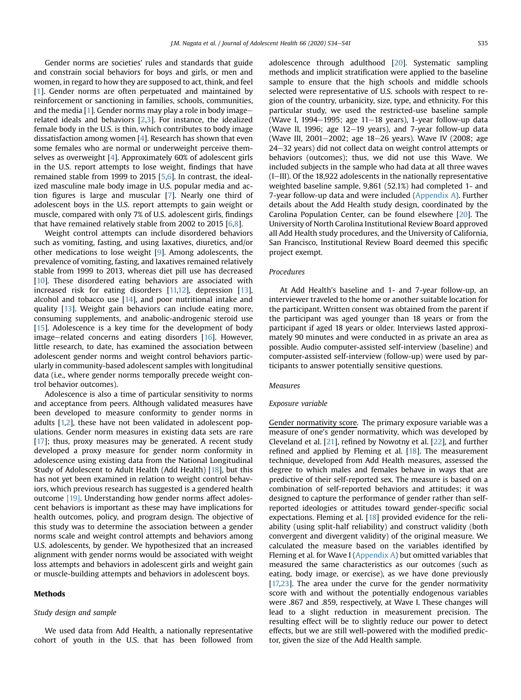Gender norms are societies' rules and standards that guide and constrain social behaviors for boys and girls, or men and women, in regard to how they are supposed to act, think, and feel [[1](#page-6-0)]. Gender norms are often perpetuated and maintained by reinforcement or sanctioning in families, schools, communities, and the media  $[1]$  $[1]$ . Gender norms may play a role in body imagerelated ideals and behaviors  $[2,3]$  $[2,3]$  $[2,3]$ . For instance, the idealized female body in the U.S. is thin, which contributes to body image dissatisfaction among women [[4\]](#page-6-0). Research has shown that even some females who are normal or underweight perceive themselves as overweight [\[4\]](#page-6-0). Approximately 60% of adolescent girls in the U.S. report attempts to lose weight, findings that have remained stable from 1999 to 2015 [\[5](#page-6-0),[6\]](#page-6-0). In contrast, the idealized masculine male body image in U.S. popular media and action figures is large and muscular [[7](#page-6-0)]. Nearly one third of adolescent boys in the U.S. report attempts to gain weight or muscle, compared with only 7% of U.S. adolescent girls, findings that have remained relatively stable from 2002 to 2015 [[6,8\]](#page-6-0).

Weight control attempts can include disordered behaviors such as vomiting, fasting, and using laxatives, diuretics, and/or other medications to lose weight [[9\]](#page-6-0). Among adolescents, the prevalence of vomiting, fasting, and laxatives remained relatively stable from 1999 to 2013, whereas diet pill use has decreased [[10\]](#page-6-0). These disordered eating behaviors are associated with increased risk for eating disorders [[11,12\]](#page-6-0), depression [[13\]](#page-6-0), alcohol and tobacco use [\[14](#page-6-0)], and poor nutritional intake and quality [[13\]](#page-6-0). Weight gain behaviors can include eating more, consuming supplements, and anabolic-androgenic steroid use [[15\]](#page-6-0). Adolescence is a key time for the development of body image–related concerns and eating disorders  $[16]$  $[16]$ . However, little research, to date, has examined the association between adolescent gender norms and weight control behaviors particularly in community-based adolescent samples with longitudinal data (i.e., where gender norms temporally precede weight control behavior outcomes).

Adolescence is also a time of particular sensitivity to norms and acceptance from peers. Although validated measures have been developed to measure conformity to gender norms in adults [\[1,2\]](#page-6-0), these have not been validated in adolescent populations. Gender norm measures in existing data sets are rare [[17](#page-6-0)]; thus, proxy measures may be generated. A recent study developed a proxy measure for gender norm conformity in adolescence using existing data from the National Longitudinal Study of Adolescent to Adult Health (Add Health) [[18](#page-6-0)], but this has not yet been examined in relation to weight control behaviors, which previous research has suggested is a gendered health outcome [\[19\].](#page-6-0) Understanding how gender norms affect adolescent behaviors is important as these may have implications for health outcomes, policy, and program design. The objective of this study was to determine the association between a gender norms scale and weight control attempts and behaviors among U.S. adolescents, by gender. We hypothesized that an increased alignment with gender norms would be associated with weight loss attempts and behaviors in adolescent girls and weight gain or muscle-building attempts and behaviors in adolescent boys.

#### Methods

# Study design and sample

We used data from Add Health, a nationally representative cohort of youth in the U.S. that has been followed from adolescence through adulthood [\[20\]](#page-6-0). Systematic sampling methods and implicit stratification were applied to the baseline sample to ensure that the high schools and middle schools selected were representative of U.S. schools with respect to region of the country, urbanicity, size, type, and ethnicity. For this particular study, we used the restricted-use baseline sample (Wave I, 1994-1995; age 11-18 years), 1-year follow-up data (Wave II, 1996; age  $12-19$  years), and 7-year follow-up data (Wave III, 2001-2002; age 18-26 years). Wave IV (2008; age 24–32 years) did not collect data on weight control attempts or behaviors (outcomes); thus, we did not use this Wave. We included subjects in the sample who had data at all three waves  $(I-HII)$ . Of the 18,922 adolescents in the nationally representative weighted baseline sample, 9,861 (52.1%) had completed 1- and 7-year follow-up data and were included (Appendix A). Further details about the Add Health study design, coordinated by the Carolina Population Center, can be found elsewhere [[20](#page-6-0)]. The University of North Carolina Institutional Review Board approved all Add Health study procedures, and the University of California, San Francisco, Institutional Review Board deemed this specific project exempt.

## Procedures

At Add Health's baseline and 1- and 7-year follow-up, an interviewer traveled to the home or another suitable location for the participant. Written consent was obtained from the parent if the participant was aged younger than 18 years or from the participant if aged 18 years or older. Interviews lasted approximately 90 minutes and were conducted in as private an area as possible. Audio computer-assisted self-interview (baseline) and computer-assisted self-interview (follow-up) were used by participants to answer potentially sensitive questions.

#### Measures

#### Exposure variable

Gender normativity score. The primary exposure variable was a measure of one's gender normativity, which was developed by Cleveland et al. [\[21](#page-6-0)], refined by Nowotny et al. [[22](#page-6-0)], and further refined and applied by Fleming et al.  $[18]$  $[18]$ . The measurement technique, developed from Add Health measures, assessed the degree to which males and females behave in ways that are predictive of their self-reported sex. The measure is based on a combination of self-reported behaviors and attitudes; it was designed to capture the performance of gender rather than selfreported ideologies or attitudes toward gender-specific social expectations. Fleming et al.  $[18]$  $[18]$  provided evidence for the reliability (using split-half reliability) and construct validity (both convergent and divergent validity) of the original measure. We calculated the measure based on the variables identified by Fleming et al. for Wave I (Appendix A) but omitted variables that measured the same characteristics as our outcomes (such as eating, body image, or exercise), as we have done previously [[17,23](#page-6-0)]. The area under the curve for the gender normativity score with and without the potentially endogenous variables were .867 and .859, respectively, at Wave I. These changes will lead to a slight reduction in measurement precision. The resulting effect will be to slightly reduce our power to detect effects, but we are still well-powered with the modified predictor, given the size of the Add Health sample.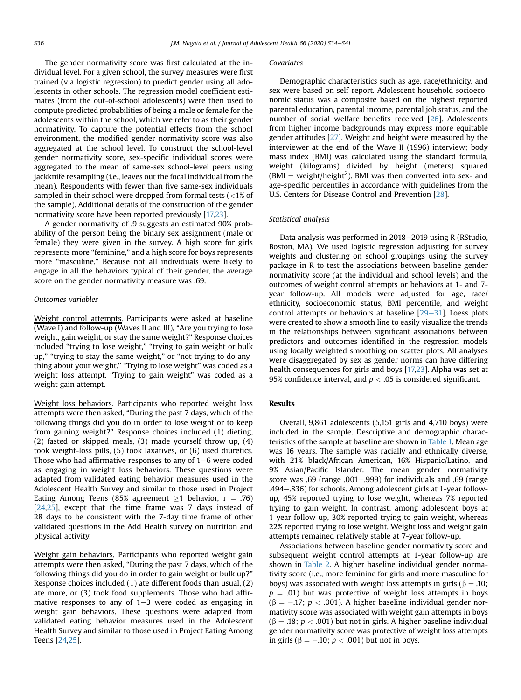The gender normativity score was first calculated at the individual level. For a given school, the survey measures were first trained (via logistic regression) to predict gender using all adolescents in other schools. The regression model coefficient estimates (from the out-of-school adolescents) were then used to compute predicted probabilities of being a male or female for the adolescents within the school, which we refer to as their gender normativity. To capture the potential effects from the school environment, the modified gender normativity score was also aggregated at the school level. To construct the school-level gender normativity score, sex-specific individual scores were aggregated to the mean of same-sex school-level peers using jackknife resampling (i.e., leaves out the focal individual from the mean). Respondents with fewer than five same-sex individuals sampled in their school were dropped from formal tests (<1% of the sample). Additional details of the construction of the gender normativity score have been reported previously [[17,23](#page-6-0)].

A gender normativity of .9 suggests an estimated 90% probability of the person being the binary sex assignment (male or female) they were given in the survey. A high score for girls represents more "feminine," and a high score for boys represents more "masculine." Because not all individuals were likely to engage in all the behaviors typical of their gender, the average score on the gender normativity measure was .69.

# Outcomes variables

Weight control attempts. Participants were asked at baseline (Wave I) and follow-up (Waves II and III), "Are you trying to lose weight, gain weight, or stay the same weight?" Response choices included "trying to lose weight," "trying to gain weight or bulk up," "trying to stay the same weight," or "not trying to do anything about your weight." "Trying to lose weight" was coded as a weight loss attempt. "Trying to gain weight" was coded as a weight gain attempt.

Weight loss behaviors. Participants who reported weight loss attempts were then asked, "During the past 7 days, which of the following things did you do in order to lose weight or to keep from gaining weight?" Response choices included (1) dieting, (2) fasted or skipped meals, (3) made yourself throw up, (4) took weight-loss pills, (5) took laxatives, or (6) used diuretics. Those who had affirmative responses to any of  $1-6$  were coded as engaging in weight loss behaviors. These questions were adapted from validated eating behavior measures used in the Adolescent Health Survey and similar to those used in Project Eating Among Teens (85% agreement  $\geq 1$  behavior, r = .76) [[24](#page-6-0),[25](#page-6-0)], except that the time frame was 7 days instead of 28 days to be consistent with the 7-day time frame of other validated questions in the Add Health survey on nutrition and physical activity.

Weight gain behaviors. Participants who reported weight gain attempts were then asked, "During the past 7 days, which of the following things did you do in order to gain weight or bulk up?" Response choices included (1) ate different foods than usual, (2) ate more, or (3) took food supplements. Those who had affirmative responses to any of  $1-3$  were coded as engaging in weight gain behaviors. These questions were adapted from validated eating behavior measures used in the Adolescent Health Survey and similar to those used in Project Eating Among Teens [\[24,25](#page-6-0)].

#### Covariates

Demographic characteristics such as age, race/ethnicity, and sex were based on self-report. Adolescent household socioeconomic status was a composite based on the highest reported parental education, parental income, parental job status, and the number of social welfare benefits received [[26](#page-6-0)]. Adolescents from higher income backgrounds may express more equitable gender attitudes [\[27](#page-6-0)]. Weight and height were measured by the interviewer at the end of the Wave II (1996) interview; body mass index (BMI) was calculated using the standard formula, weight (kilograms) divided by height (meters) squared  $(BMI = weight/height<sup>2</sup>)$ . BMI was then converted into sex- and age-specific percentiles in accordance with guidelines from the U.S. Centers for Disease Control and Prevention [\[28\]](#page-6-0).

#### Statistical analysis

Data analysis was performed in 2018-2019 using R (RStudio, Boston, MA). We used logistic regression adjusting for survey weights and clustering on school groupings using the survey package in R to test the associations between baseline gender normativity score (at the individual and school levels) and the outcomes of weight control attempts or behaviors at 1- and 7 year follow-up. All models were adjusted for age, race/ ethnicity, socioeconomic status, BMI percentile, and weight control attempts or behaviors at baseline  $[29-31]$  $[29-31]$  $[29-31]$  $[29-31]$ . Loess plots were created to show a smooth line to easily visualize the trends in the relationships between significant associations between predictors and outcomes identified in the regression models using locally weighted smoothing on scatter plots. All analyses were disaggregated by sex as gender norms can have differing health consequences for girls and boys [[17,23\]](#page-6-0). Alpha was set at 95% confidence interval, and  $p < .05$  is considered significant.

# Results

Overall, 9,861 adolescents (5,151 girls and 4,710 boys) were included in the sample. Descriptive and demographic charac-teristics of the sample at baseline are shown in [Table 1.](#page-3-0) Mean age was 16 years. The sample was racially and ethnically diverse, with 21% black/African American, 16% Hispanic/Latino, and 9% Asian/Pacific Islander. The mean gender normativity score was  $.69$  (range  $.001-0.999$ ) for individuals and  $.69$  (range .494–.836) for schools. Among adolescent girls at 1-year followup, 45% reported trying to lose weight, whereas 7% reported trying to gain weight. In contrast, among adolescent boys at 1-year follow-up, 30% reported trying to gain weight, whereas 22% reported trying to lose weight. Weight loss and weight gain attempts remained relatively stable at 7-year follow-up.

Associations between baseline gender normativity score and subsequent weight control attempts at 1-year follow-up are shown in [Table 2.](#page-4-0) A higher baseline individual gender normativity score (i.e., more feminine for girls and more masculine for boys) was associated with weight loss attempts in girls ( $\beta = .10$ ;  $p = .01$ ) but was protective of weight loss attempts in boys ( $\beta = -.17$ ;  $p < .001$ ). A higher baseline individual gender normativity score was associated with weight gain attempts in boys  $(\beta = .18; p < .001)$  but not in girls. A higher baseline individual gender normativity score was protective of weight loss attempts in girls ( $\beta = -.10; p < .001$ ) but not in boys.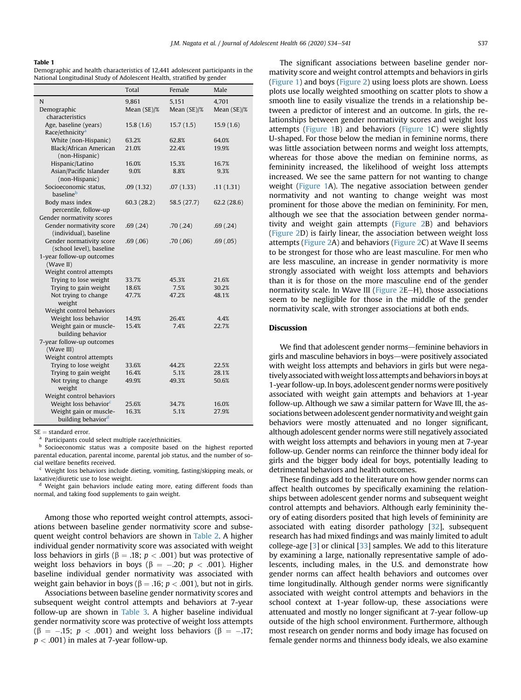#### <span id="page-3-0"></span>Table 1

Demographic and health characteristics of 12,441 adolescent participants in the National Longitudinal Study of Adolescent Health, stratified by gender

|                                                  | Total<br>Female |             | Male        |  |
|--------------------------------------------------|-----------------|-------------|-------------|--|
| N                                                | 9,861           | 5,151       | 4,701       |  |
| Demographic                                      | Mean (SE)/%     | Mean (SE)/% | Mean (SE)/% |  |
| characteristics                                  |                 |             |             |  |
| Age, baseline (years)                            | 15.8(1.6)       | 15.7(1.5)   | 15.9(1.6)   |  |
| Race/ethnicity <sup>a</sup>                      |                 |             |             |  |
| White (non-Hispanic)                             | 63.2%           | 62.8%       | 64.0%       |  |
| Black/African American                           | 21.0%           | 22.4%       | 19.9%       |  |
| (non-Hispanic)                                   |                 |             |             |  |
| Hispanic/Latino                                  | 16.0%           | 15.3%       | 16.7%       |  |
| Asian/Pacific Islander                           | 9.0%            | 8.8%        | 9.3%        |  |
| (non-Hispanic)                                   |                 |             |             |  |
| Socioeconomic status,                            | .09(1.32)       | .07(1.33)   | .11(1.31)   |  |
| baselineb                                        |                 |             |             |  |
| Body mass index                                  | 60.3(28.2)      | 58.5 (27.7) | 62.2(28.6)  |  |
| percentile, follow-up                            |                 |             |             |  |
| Gender normativity scores                        |                 |             |             |  |
| Gender normativity score                         | .69(.24)        | .70(.24)    | .69(.24)    |  |
| (individual), baseline                           |                 |             |             |  |
| Gender normativity score                         | .69(.06)        | .70(.06)    | .69(.05)    |  |
| (school level), baseline                         |                 |             |             |  |
| 1-year follow-up outcomes<br>(Wave II)           |                 |             |             |  |
|                                                  |                 |             |             |  |
| Weight control attempts<br>Trying to lose weight | 33.7%           | 45.3%       | 21.6%       |  |
| Trying to gain weight                            | 18.6%           | 7.5%        | 30.2%       |  |
| Not trying to change                             | 47.7%           | 47.2%       | 48.1%       |  |
| weight                                           |                 |             |             |  |
| Weight control behaviors                         |                 |             |             |  |
| Weight loss behavior                             | 14.9%           | 26.4%       | 4.4%        |  |
| Weight gain or muscle-                           | 15.4%           | 7.4%        | 22.7%       |  |
| building behavior                                |                 |             |             |  |
| 7-year follow-up outcomes                        |                 |             |             |  |
| (Wave III)                                       |                 |             |             |  |
| Weight control attempts                          |                 |             |             |  |
| Trying to lose weight                            | 33.6%           | 44.2%       | 22.5%       |  |
| Trying to gain weight                            | 16.4%           | 5.1%        | 28.1%       |  |
| Not trying to change                             | 49.9%           | 49.3%       | 50.6%       |  |
| weight                                           |                 |             |             |  |
| Weight control behaviors                         |                 |             |             |  |
| Weight loss behavior <sup>c</sup>                | 25.6%           | 34.7%       | 16.0%       |  |
| Weight gain or muscle-                           | 16.3%           | 5.1%        | 27.9%       |  |
| building behavior <sup>d</sup>                   |                 |             |             |  |

 $SE =$  standard error.<br><sup>a</sup> Participants could select multiple race/ethnicities.

**b** Socioeconomic status was a composite based on the highest reported parental education, parental income, parental job status, and the number of social welfare benefits received.

Weight loss behaviors include dieting, vomiting, fasting/skipping meals, or laxative/diuretic use to lose weight.

<sup>d</sup> Weight gain behaviors include eating more, eating different foods than normal, and taking food supplements to gain weight.

Among those who reported weight control attempts, associations between baseline gender normativity score and subsequent weight control behaviors are shown in [Table 2.](#page-4-0) A higher individual gender normativity score was associated with weight loss behaviors in girls ( $\beta = .18$ ;  $p < .001$ ) but was protective of weight loss behaviors in boys ( $\beta = -.20; p < .001$ ). Higher baseline individual gender normativity was associated with weight gain behavior in boys ( $\beta = .16$ ;  $p < .001$ ), but not in girls.

Associations between baseline gender normativity scores and subsequent weight control attempts and behaviors at 7-year follow-up are shown in [Table 3](#page-4-0). A higher baseline individual gender normativity score was protective of weight loss attempts (β =  $-0.15$ ;  $p < 0.001$ ) and weight loss behaviors (β =  $-0.17$ ;  $p < .001$ ) in males at 7-year follow-up.

The significant associations between baseline gender normativity score and weight control attempts and behaviors in girls ([Figure 1](#page-5-0)) and boys ([Figure 2](#page-5-0)) using loess plots are shown. Loess plots use locally weighted smoothing on scatter plots to show a smooth line to easily visualize the trends in a relationship between a predictor of interest and an outcome. In girls, the relationships between gender normativity scores and weight loss attempts [\(Figure 1B](#page-5-0)) and behaviors ([Figure 1](#page-5-0)C) were slightly U-shaped. For those below the median in feminine norms, there was little association between norms and weight loss attempts, whereas for those above the median on feminine norms, as femininity increased, the likelihood of weight loss attempts increased. We see the same pattern for not wanting to change weight ([Figure 1](#page-5-0)A). The negative association between gender normativity and not wanting to change weight was most prominent for those above the median on femininity. For men, although we see that the association between gender normativity and weight gain attempts ([Figure 2](#page-5-0)B) and behaviors ([Figure 2D](#page-5-0)) is fairly linear, the association between weight loss attempts [\(Figure 2A](#page-5-0)) and behaviors ([Figure 2](#page-5-0)C) at Wave II seems to be strongest for those who are least masculine. For men who are less masculine, an increase in gender normativity is more strongly associated with weight loss attempts and behaviors than it is for those on the more masculine end of the gender normativity scale. In Wave III (Figure  $2E-H$ ), those associations seem to be negligible for those in the middle of the gender normativity scale, with stronger associations at both ends.

### Discussion

We find that adolescent gender norms-feminine behaviors in girls and masculine behaviors in boys—were positively associated with weight loss attempts and behaviors in girls but were negatively associated with weight loss attempts and behaviors in boys at 1-year follow-up. In boys, adolescent gender norms were positively associated with weight gain attempts and behaviors at 1-year follow-up. Although we saw a similar pattern for Wave III, the associations between adolescent gender normativity and weight gain behaviors were mostly attenuated and no longer significant, although adolescent gender norms were still negatively associated with weight loss attempts and behaviors in young men at 7-year follow-up. Gender norms can reinforce the thinner body ideal for girls and the bigger body ideal for boys, potentially leading to detrimental behaviors and health outcomes.

These findings add to the literature on how gender norms can affect health outcomes by specifically examining the relationships between adolescent gender norms and subsequent weight control attempts and behaviors. Although early femininity theory of eating disorders posited that high levels of femininity are associated with eating disorder pathology  $[32]$  $[32]$  $[32]$ , subsequent research has had mixed findings and was mainly limited to adult college-age  $[3]$  $[3]$  $[3]$  or clinical  $[33]$  $[33]$  $[33]$  samples. We add to this literature by examining a large, nationally representative sample of adolescents, including males, in the U.S. and demonstrate how gender norms can affect health behaviors and outcomes over time longitudinally. Although gender norms were significantly associated with weight control attempts and behaviors in the school context at 1-year follow-up, these associations were attenuated and mostly no longer significant at 7-year follow-up outside of the high school environment. Furthermore, although most research on gender norms and body image has focused on female gender norms and thinness body ideals, we also examine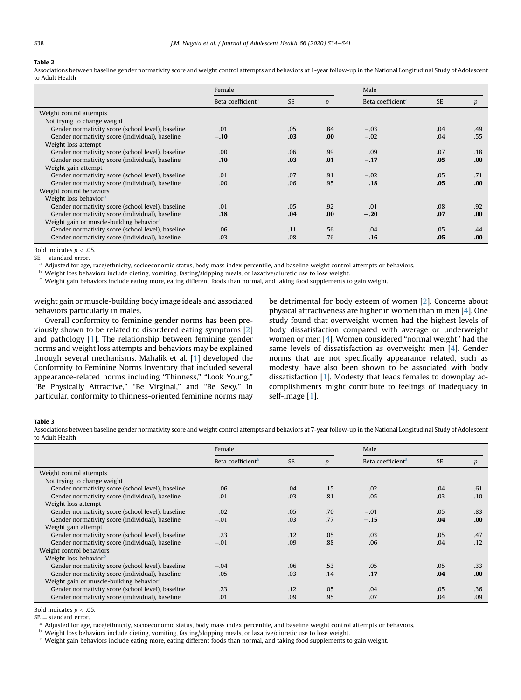#### <span id="page-4-0"></span>Table 2

Associations between baseline gender normativity score and weight control attempts and behaviors at 1-year follow-up in the National Longitudinal Study of Adolescent to Adult Health

|                                                      | Female                        |           |                  | Male                          |           |                  |  |
|------------------------------------------------------|-------------------------------|-----------|------------------|-------------------------------|-----------|------------------|--|
|                                                      | Beta coefficient <sup>a</sup> | <b>SE</b> | $\boldsymbol{p}$ | Beta coefficient <sup>a</sup> | <b>SE</b> | $\boldsymbol{p}$ |  |
| Weight control attempts                              |                               |           |                  |                               |           |                  |  |
| Not trying to change weight                          |                               |           |                  |                               |           |                  |  |
| Gender normativity score (school level), baseline    | .01                           | .05       | .84              | $-.03$                        | .04       | .49              |  |
| Gender normativity score (individual), baseline      | $-.10$                        | .03       | .00              | $-.02$                        | .04       | .55              |  |
| Weight loss attempt                                  |                               |           |                  |                               |           |                  |  |
| Gender normativity score (school level), baseline    | .00                           | .06       | .99              | .09                           | .07       | .18              |  |
| Gender normativity score (individual), baseline      | .10                           | .03       | .01              | $-.17$                        | .05       | .00.             |  |
| Weight gain attempt                                  |                               |           |                  |                               |           |                  |  |
| Gender normativity score (school level), baseline    | .01                           | .07       | .91              | $-.02$                        | .05       | .71              |  |
| Gender normativity score (individual), baseline      | .00                           | .06       | .95              | .18                           | .05       | .00.             |  |
| Weight control behaviors                             |                               |           |                  |                               |           |                  |  |
| Weight loss behavior <sup>b</sup>                    |                               |           |                  |                               |           |                  |  |
| Gender normativity score (school level), baseline    | .01                           | .05       | .92              | .01                           | .08       | .92              |  |
| Gender normativity score (individual), baseline      | .18                           | .04       | .00              | $-.20$                        | .07       | .00.             |  |
| Weight gain or muscle-building behavior <sup>c</sup> |                               |           |                  |                               |           |                  |  |
| Gender normativity score (school level), baseline    | .06                           | .11       | .56              | .04                           | .05       | .44              |  |
| Gender normativity score (individual), baseline      | .03                           | .08       | .76              | .16                           | .05       | .00.             |  |

Bold indicates  $p < .05$ .<br>SE = standard error.

<sup>a</sup> Adjusted for age, race/ethnicity, socioeconomic status, body mass index percentile, and baseline weight control attempts or behaviors.

<sup>b</sup> Weight loss behaviors include dieting, vomiting, fasting/skipping meals, or laxative/diuretic use to lose weight.

 $\cdot$  Weight gain behaviors include eating more, eating different foods than normal, and taking food supplements to gain weight.

weight gain or muscle-building body image ideals and associated behaviors particularly in males.

Overall conformity to feminine gender norms has been previously shown to be related to disordered eating symptoms [\[2\]](#page-6-0) and pathology [[1\]](#page-6-0). The relationship between feminine gender norms and weight loss attempts and behaviors may be explained through several mechanisms. Mahalik et al. [[1](#page-6-0)] developed the Conformity to Feminine Norms Inventory that included several appearance-related norms including "Thinness," "Look Young," "Be Physically Attractive," "Be Virginal," and "Be Sexy." In particular, conformity to thinness-oriented feminine norms may

be detrimental for body esteem of women [[2\]](#page-6-0). Concerns about physical attractiveness are higher in women than in men [\[4](#page-6-0)]. One study found that overweight women had the highest levels of body dissatisfaction compared with average or underweight women or men [\[4\]](#page-6-0). Women considered "normal weight" had the same levels of dissatisfaction as overweight men [[4](#page-6-0)]. Gender norms that are not specifically appearance related, such as modesty, have also been shown to be associated with body dissatisfaction [\[1\]](#page-6-0). Modesty that leads females to downplay accomplishments might contribute to feelings of inadequacy in self-image [\[1](#page-6-0)].

#### Table 3

Associations between baseline gender normativity score and weight control attempts and behaviors at 7-year follow-up in the National Longitudinal Study of Adolescent to Adult Health

|                                                    | Female                        |           |                  |                               | Male      |      |  |
|----------------------------------------------------|-------------------------------|-----------|------------------|-------------------------------|-----------|------|--|
|                                                    | Beta coefficient <sup>a</sup> | <b>SE</b> | $\boldsymbol{p}$ | Beta coefficient <sup>a</sup> | <b>SE</b> | p    |  |
| Weight control attempts                            |                               |           |                  |                               |           |      |  |
| Not trying to change weight                        |                               |           |                  |                               |           |      |  |
| Gender normativity score (school level), baseline  | .06                           | .04       | .15              | .02                           | .04       | .61  |  |
| Gender normativity score (individual), baseline    | $-.01$                        | .03       | .81              | $-.05$                        | .03       | .10  |  |
| Weight loss attempt                                |                               |           |                  |                               |           |      |  |
| Gender normativity score (school level), baseline  | .02                           | .05       | .70              | $-.01$                        | .05       | .83  |  |
| Gender normativity score (individual), baseline    | $-.01$                        | .03       | .77              | $-.15$                        | .04       | .00. |  |
| Weight gain attempt                                |                               |           |                  |                               |           |      |  |
| Gender normativity score (school level), baseline  | .23                           | .12       | .05              | .03                           | .05       | .47  |  |
| Gender normativity score (individual), baseline    | $-.01$                        | .09       | .88              | .06                           | .04       | .12  |  |
| Weight control behaviors                           |                               |           |                  |                               |           |      |  |
| Weight loss behavior <sup>b</sup>                  |                               |           |                  |                               |           |      |  |
| Gender normativity score (school level), baseline  | $-.04$                        | .06       | .53              | .05                           | .05       | .33  |  |
| Gender normativity score (individual), baseline    | .05                           | .03       | .14              | $-.17$                        | .04       | .00. |  |
| Weight gain or muscle-building behavior $\epsilon$ |                               |           |                  |                               |           |      |  |
| Gender normativity score (school level), baseline  | .23                           | .12       | .05              | .04                           | .05       | .36  |  |
| Gender normativity score (individual), baseline    | .01                           | .09       | .95              | .07                           | .04       | .09  |  |

Bold indicates  $p < .05$ .

 $SE =$  standard error.<br><sup>a</sup> Adjusted for age, race/ethnicity, socioeconomic status, body mass index percentile, and baseline weight control attempts or behaviors.

<sup>b</sup> Weight loss behaviors include dieting, vomiting, fasting/skipping meals, or laxative/diuretic use to lose weight.

 $c$  Weight gain behaviors include eating more, eating different foods than normal, and taking food supplements to gain weight.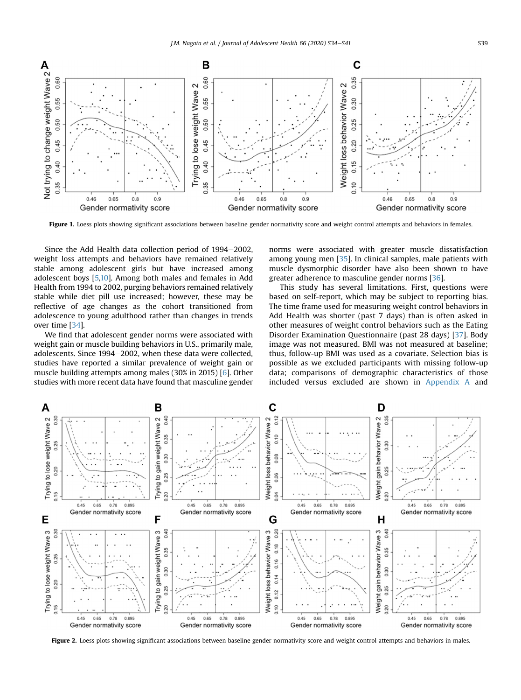<span id="page-5-0"></span>

Figure 1. Loess plots showing significant associations between baseline gender normativity score and weight control attempts and behaviors in females.

Since the Add Health data collection period of  $1994-2002$ , weight loss attempts and behaviors have remained relatively stable among adolescent girls but have increased among adolescent boys [[5,10\]](#page-6-0). Among both males and females in Add Health from 1994 to 2002, purging behaviors remained relatively stable while diet pill use increased; however, these may be reflective of age changes as the cohort transitioned from adolescence to young adulthood rather than changes in trends over time [[34](#page-7-0)].

We find that adolescent gender norms were associated with weight gain or muscle building behaviors in U.S., primarily male, adolescents. Since 1994-2002, when these data were collected, studies have reported a similar prevalence of weight gain or muscle building attempts among males (30% in 2015) [\[6\]](#page-6-0). Other studies with more recent data have found that masculine gender norms were associated with greater muscle dissatisfaction among young men [\[35\]](#page-7-0). In clinical samples, male patients with muscle dysmorphic disorder have also been shown to have greater adherence to masculine gender norms [\[36\]](#page-7-0).

This study has several limitations. First, questions were based on self-report, which may be subject to reporting bias. The time frame used for measuring weight control behaviors in Add Health was shorter (past 7 days) than is often asked in other measures of weight control behaviors such as the Eating Disorder Examination Questionnaire (past 28 days) [\[37\]](#page-7-0). Body image was not measured. BMI was not measured at baseline; thus, follow-up BMI was used as a covariate. Selection bias is possible as we excluded participants with missing follow-up data; comparisons of demographic characteristics of those included versus excluded are shown in Appendix A and



Figure 2. Loess plots showing significant associations between baseline gender normativity score and weight control attempts and behaviors in males.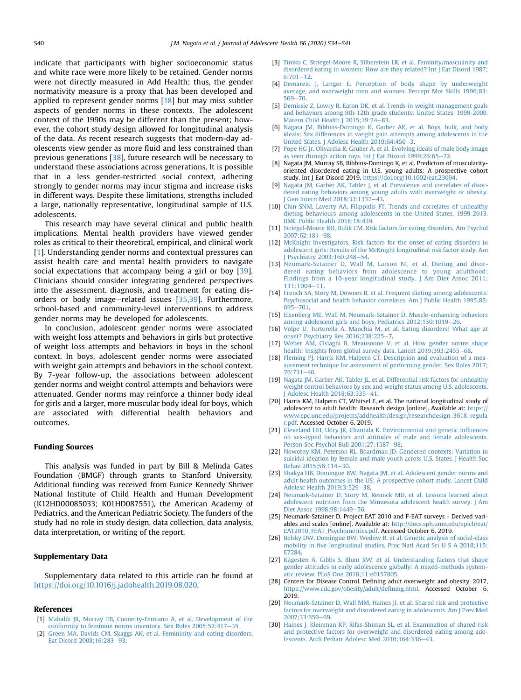<span id="page-6-0"></span>indicate that participants with higher socioeconomic status and white race were more likely to be retained. Gender norms were not directly measured in Add Health; thus, the gender normativity measure is a proxy that has been developed and applied to represent gender norms [18] but may miss subtler aspects of gender norms in these contexts. The adolescent context of the 1990s may be different than the present; however, the cohort study design allowed for longitudinal analysis of the data. As recent research suggests that modern-day adolescents view gender as more fluid and less constrained than previous generations [\[38\]](#page-7-0), future research will be necessary to understand these associations across generations. It is possible that in a less gender-restricted social context, adhering strongly to gender norms may incur stigma and increase risks in different ways. Despite these limitations, strengths included a large, nationally representative, longitudinal sample of U.S. adolescents.

This research may have several clinical and public health implications. Mental health providers have viewed gender roles as critical to their theoretical, empirical, and clinical work [1]. Understanding gender norms and contextual pressures can assist health care and mental health providers to navigate social expectations that accompany being a girl or boy [\[39\]](#page-7-0). Clinicians should consider integrating gendered perspectives into the assessment, diagnosis, and treatment for eating dis-orders or body image-related issues [[35,39\]](#page-7-0). Furthermore, school-based and community-level interventions to address gender norms may be developed for adolescents.

In conclusion, adolescent gender norms were associated with weight loss attempts and behaviors in girls but protective of weight loss attempts and behaviors in boys in the school context. In boys, adolescent gender norms were associated with weight gain attempts and behaviors in the school context. By 7-year follow-up, the associations between adolescent gender norms and weight control attempts and behaviors were attenuated. Gender norms may reinforce a thinner body ideal for girls and a larger, more muscular body ideal for boys, which are associated with differential health behaviors and outcomes.

# Funding Sources

This analysis was funded in part by Bill & Melinda Gates Foundation (BMGF) through grants to Stanford University. Additional funding was received from Eunice Kennedy Shriver National Institute of Child Health and Human Development (K12HD00085033; K01HD087551), the American Academy of Pediatrics, and the American Pediatric Society. The funders of the study had no role in study design, data collection, data analysis, data interpretation, or writing of the report.

#### Supplementary Data

Supplementary data related to this article can be found at <https://doi.org/10.1016/j.jadohealth.2019.08.020>.

#### References

- [1] [Mahalik JR, Morray EB, Coonerty-Femiano A, et al. Development of the](http://refhub.elsevier.com/S1054-139X(19)30431-8/sref1) [conformity to feminine norms inventory. Sex Roles 2005;52:417](http://refhub.elsevier.com/S1054-139X(19)30431-8/sref1)-[35.](http://refhub.elsevier.com/S1054-139X(19)30431-8/sref1)
- [Green MA, Davids CM, Skaggs AK, et al. Femininity and eating disorders.](http://refhub.elsevier.com/S1054-139X(19)30431-8/sref2) [Eat Disord 2008;16:283](http://refhub.elsevier.com/S1054-139X(19)30431-8/sref2)-[93.](http://refhub.elsevier.com/S1054-139X(19)30431-8/sref2)
- [3] [Timko C, Striegel-Moore R, Silberstein LR, et al. Feminity/masculinity and](http://refhub.elsevier.com/S1054-139X(19)30431-8/sref3) [disordered eating in women: How are they related? Int J Eat Disord 1987;](http://refhub.elsevier.com/S1054-139X(19)30431-8/sref3)  $6:701-12.$  $6:701-12.$  $6:701-12.$
- [4] [Demarest J, Langer E. Perception of body shape by underweight](http://refhub.elsevier.com/S1054-139X(19)30431-8/sref4) [average, and overweight men and women. Percept Mot Skills 1996;83:](http://refhub.elsevier.com/S1054-139X(19)30431-8/sref4)  $569 - 70.$  $569 - 70.$  $569 - 70.$  $569 - 70.$
- [5] [Demissie Z, Lowry R, Eaton DK, et al. Trends in weight management goals](http://refhub.elsevier.com/S1054-139X(19)30431-8/sref5) [and behaviors among 9th-12th grade students: United States, 1999-2009.](http://refhub.elsevier.com/S1054-139X(19)30431-8/sref5) [Matern Child Health J 2015;19:74](http://refhub.elsevier.com/S1054-139X(19)30431-8/sref5)-[83.](http://refhub.elsevier.com/S1054-139X(19)30431-8/sref5)
- [6] [Nagata JM, Bibbins-Domingo K, Garber AK, et al. Boys, bulk, and body](http://refhub.elsevier.com/S1054-139X(19)30431-8/sref6) [ideals: Sex differences in weight gain attempts among adolescents in the](http://refhub.elsevier.com/S1054-139X(19)30431-8/sref6) [United States. J Adolesc Health 2019;64:450](http://refhub.elsevier.com/S1054-139X(19)30431-8/sref6)-[3.](http://refhub.elsevier.com/S1054-139X(19)30431-8/sref6)
- [7] [Pope HG Jr, Olivardia R, Gruber A, et al. Evolving ideals of male body image](http://refhub.elsevier.com/S1054-139X(19)30431-8/sref7) as seen through action toys. Int J Eat Disord  $1999;26:65-72$ .
- [8] Nagata JM, Murray SB, Bibbins-Domingo K, et al. Predictors of muscularityoriented disordered eating in U.S. young adults: A prospective cohort study. Int J Eat Disord 2019. [https://doi.org/10.1002/eat.23094.](https://doi.org/10.1002/eat.23094)
- [9] [Nagata JM, Garber AK, Tabler J, et al. Prevalence and correlates of disor](http://refhub.elsevier.com/S1054-139X(19)30431-8/sref9)[dered eating behaviors among young adults with overweight or obesity.](http://refhub.elsevier.com/S1054-139X(19)30431-8/sref9) I Gen Intern Med 2018:33:1337-[43.](http://refhub.elsevier.com/S1054-139X(19)30431-8/sref9)
- [10] [Chin SNM, Laverty AA, Filippidis FT. Trends and correlates of unhealthy](http://refhub.elsevier.com/S1054-139X(19)30431-8/sref10) [dieting behaviours among adolescents in the United States, 1999-2013.](http://refhub.elsevier.com/S1054-139X(19)30431-8/sref10) [BMC Public Health 2018;18:439.](http://refhub.elsevier.com/S1054-139X(19)30431-8/sref10)
- [11] [Striegel-Moore RH, Bulik CM. Risk factors for eating disorders. Am Psychol](http://refhub.elsevier.com/S1054-139X(19)30431-8/sref11)  $2007:62:181-98.$  $2007:62:181-98.$  $2007:62:181-98.$
- [12] [McKnight Investigators. Risk factors for the onset of eating disorders in](http://refhub.elsevier.com/S1054-139X(19)30431-8/sref12) [adolescent girls: Results of the McKnight longitudinal risk factor study. Am](http://refhub.elsevier.com/S1054-139X(19)30431-8/sref12) I Psychiatry 2003:160:248-[54.](http://refhub.elsevier.com/S1054-139X(19)30431-8/sref12)
- [13] [Neumark-Sztainer D, Wall M, Larson NI, et al. Dieting and disor](http://refhub.elsevier.com/S1054-139X(19)30431-8/sref13)[dered eating behaviors from adolescence to young adulthood:](http://refhub.elsevier.com/S1054-139X(19)30431-8/sref13) [Findings from a 10-year longitudinal study. J Am Diet Assoc 2011;](http://refhub.elsevier.com/S1054-139X(19)30431-8/sref13) [111:1004](http://refhub.elsevier.com/S1054-139X(19)30431-8/sref13)-[11.](http://refhub.elsevier.com/S1054-139X(19)30431-8/sref13)
- [14] [French SA, Story M, Downes B, et al. Frequent dieting among adolescents:](http://refhub.elsevier.com/S1054-139X(19)30431-8/sref14) [Psychosocial and health behavior correlates. Am J Public Health 1995;85:](http://refhub.elsevier.com/S1054-139X(19)30431-8/sref14) [695](http://refhub.elsevier.com/S1054-139X(19)30431-8/sref14)e[701.](http://refhub.elsevier.com/S1054-139X(19)30431-8/sref14)
- [15] [Eisenberg ME, Wall M, Neumark-Sztainer D. Muscle-enhancing behaviors](http://refhub.elsevier.com/S1054-139X(19)30431-8/sref15) [among adolescent girls and boys. Pediatrics 2012;130:1019](http://refhub.elsevier.com/S1054-139X(19)30431-8/sref15)-[26.](http://refhub.elsevier.com/S1054-139X(19)30431-8/sref15)
- [16] [Volpe U, Tortorella A, Manchia M, et al. Eating disorders: What age at](http://refhub.elsevier.com/S1054-139X(19)30431-8/sref16) [onset? Psychiatry Res 2016;238:225](http://refhub.elsevier.com/S1054-139X(19)30431-8/sref16)-[7.](http://refhub.elsevier.com/S1054-139X(19)30431-8/sref16)
- [17] [Weber AM, Cislaghi B, Meausoone V, et al. How gender norms shape](http://refhub.elsevier.com/S1054-139X(19)30431-8/sref17) [health: Insights from global survey data. Lancet 2019;393:2455](http://refhub.elsevier.com/S1054-139X(19)30431-8/sref17)-[68.](http://refhub.elsevier.com/S1054-139X(19)30431-8/sref17)
- [18] [Fleming PJ, Harris KM, Halpern CT. Description and evaluation of a mea](http://refhub.elsevier.com/S1054-139X(19)30431-8/sref18)[surement technique for assessment of performing gender. Sex Roles 2017;](http://refhub.elsevier.com/S1054-139X(19)30431-8/sref18) [76:731](http://refhub.elsevier.com/S1054-139X(19)30431-8/sref18)-[46.](http://refhub.elsevier.com/S1054-139X(19)30431-8/sref18)
- [19] [Nagata JM, Garber AK, Tabler JL, et al. Differential risk factors for unhealthy](http://refhub.elsevier.com/S1054-139X(19)30431-8/sref39) [weight control behaviors by sex and weight status among U.S. adolescents.](http://refhub.elsevier.com/S1054-139X(19)30431-8/sref39) [J Adolesc Health 2018;63:335](http://refhub.elsevier.com/S1054-139X(19)30431-8/sref39)-[41](http://refhub.elsevier.com/S1054-139X(19)30431-8/sref39).
- [20] Harris KM, Halpern CT, Whitsel E, et al. The national longitudinal study of adolescent to adult health: Research design [online]. Available at: [https://](https://www.cpc.unc.edu/projects/addhealth/design/researchdesign_3618_regular.pdf) [www.cpc.unc.edu/projects/addhealth/design/researchdesign\\_3618\\_regula](https://www.cpc.unc.edu/projects/addhealth/design/researchdesign_3618_regular.pdf) [r.pdf](https://www.cpc.unc.edu/projects/addhealth/design/researchdesign_3618_regular.pdf). Accessed October 6, 2019.
- [21] [Cleveland HH, Udry JR, Chantala K. Environmental and genetic in](http://refhub.elsevier.com/S1054-139X(19)30431-8/sref20)fluences [on sex-typed behaviors and attitudes of male and female adolescents.](http://refhub.elsevier.com/S1054-139X(19)30431-8/sref20) [Person Soc Psychol Bull 2001;27:1587](http://refhub.elsevier.com/S1054-139X(19)30431-8/sref20)-[98](http://refhub.elsevier.com/S1054-139X(19)30431-8/sref20).
- [22] [Nowotny KM, Peterson RL, Boardman JD. Gendered contexts: Variation in](http://refhub.elsevier.com/S1054-139X(19)30431-8/sref21) [suicidal ideation by female and male youth across U.S. States. J Health Soc](http://refhub.elsevier.com/S1054-139X(19)30431-8/sref21) Behav 2015:56:114-[30.](http://refhub.elsevier.com/S1054-139X(19)30431-8/sref21)
- [23] [Shakya HB, Domingue BW, Nagata JM, et al. Adolescent gender norms and](http://refhub.elsevier.com/S1054-139X(19)30431-8/sref22) [adult health outcomes in the US: A prospective cohort study. Lancet Child](http://refhub.elsevier.com/S1054-139X(19)30431-8/sref22) [Adolesc Health 2019;3:529](http://refhub.elsevier.com/S1054-139X(19)30431-8/sref22)-[38](http://refhub.elsevier.com/S1054-139X(19)30431-8/sref22).
- [24] [Neumark-Sztainer D, Story M, Resnick MD, et al. Lessons learned about](http://refhub.elsevier.com/S1054-139X(19)30431-8/sref23) [adolescent nutrition from the Minnesota adolescent health survey. J Am](http://refhub.elsevier.com/S1054-139X(19)30431-8/sref23) Diet Assoc 1998:98:1449-[56.](http://refhub.elsevier.com/S1054-139X(19)30431-8/sref23)
- [25] Neumark-Sztainer D. Project EAT 2010 and F-EAT surveys Derived variables and scales [online]. Available at: [http://docs.sph.umn.edu/epich/eat/](http://docs.sph.umn.edu/epich/eat/EAT2010_FEAT_Psychometrics.pdf) [EAT2010\\_FEAT\\_Psychometrics.pdf.](http://docs.sph.umn.edu/epich/eat/EAT2010_FEAT_Psychometrics.pdf) Accessed October 6, 2019.
- [26] [Belsky DW, Domingue BW, Wedow R, et al. Genetic analysis of social-class](http://refhub.elsevier.com/S1054-139X(19)30431-8/sref25) mobility in fi[ve longitudinal studies. Proc Natl Acad Sci U S A 2018;115:](http://refhub.elsevier.com/S1054-139X(19)30431-8/sref25) [E7284.](http://refhub.elsevier.com/S1054-139X(19)30431-8/sref25)
- [27] [Kågesten A, Gibbs S, Blum RW, et al. Understanding factors that shape](http://refhub.elsevier.com/S1054-139X(19)30431-8/sref26) [gender attitudes in early adolescence globally: A mixed-methods system](http://refhub.elsevier.com/S1054-139X(19)30431-8/sref26)[atic review. PLoS One 2016;11:e0157805.](http://refhub.elsevier.com/S1054-139X(19)30431-8/sref26)
- [28] Centers for Disease Control. Defining adult overweight and obesity. 2017, [https://www.cdc.gov/obesity/adult/de](https://www.cdc.gov/obesity/adult/defining.html)fining.html. Accessed October 6, 2019.
- [29] [Neumark-Sztainer D, Wall MM, Haines JI, et al. Shared risk and protective](http://refhub.elsevier.com/S1054-139X(19)30431-8/sref28) [factors for overweight and disordered eating in adolescents. Am J Prev Med](http://refhub.elsevier.com/S1054-139X(19)30431-8/sref28) [2007;33:359](http://refhub.elsevier.com/S1054-139X(19)30431-8/sref28)-[69](http://refhub.elsevier.com/S1054-139X(19)30431-8/sref28).
- [30] [Haines J, Kleinman KP, Rifas-Shiman SL, et al. Examination of shared risk](http://refhub.elsevier.com/S1054-139X(19)30431-8/sref29) [and protective factors for overweight and disordered eating among ado](http://refhub.elsevier.com/S1054-139X(19)30431-8/sref29)[lescents. Arch Pediatr Adolesc Med 2010;164:336](http://refhub.elsevier.com/S1054-139X(19)30431-8/sref29)-[43](http://refhub.elsevier.com/S1054-139X(19)30431-8/sref29).